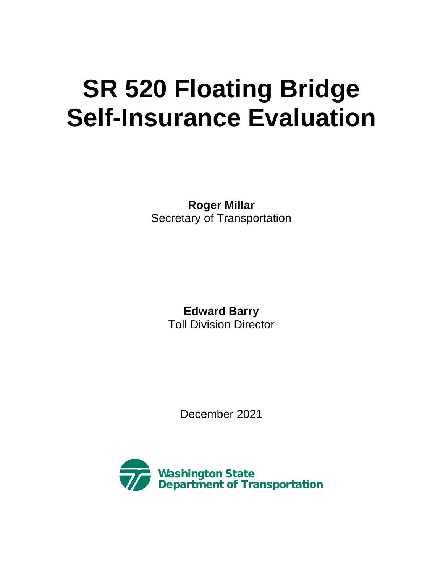# **SR 520 Floating Bridge Self-Insurance Evaluation**

**Roger Millar** Secretary of Transportation

> **Edward Barry**  Toll Division Director

> > December 2021

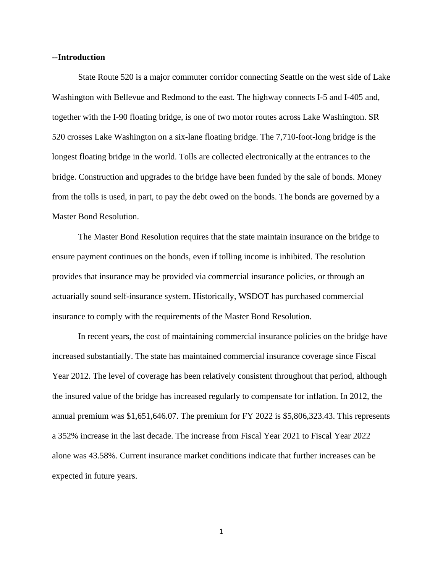#### **--Introduction**

State Route 520 is a major commuter corridor connecting Seattle on the west side of Lake Washington with Bellevue and Redmond to the east. The highway connects I-5 and I-405 and, together with the I-90 floating bridge, is one of two motor routes across Lake Washington. SR 520 crosses Lake Washington on a six-lane floating bridge. The 7,710-foot-long bridge is the longest floating bridge in the world. Tolls are collected electronically at the entrances to the bridge. Construction and upgrades to the bridge have been funded by the sale of bonds. Money from the tolls is used, in part, to pay the debt owed on the bonds. The bonds are governed by a Master Bond Resolution.

The Master Bond Resolution requires that the state maintain insurance on the bridge to ensure payment continues on the bonds, even if tolling income is inhibited. The resolution provides that insurance may be provided via commercial insurance policies, or through an actuarially sound self-insurance system. Historically, WSDOT has purchased commercial insurance to comply with the requirements of the Master Bond Resolution.

In recent years, the cost of maintaining commercial insurance policies on the bridge have increased substantially. The state has maintained commercial insurance coverage since Fiscal Year 2012. The level of coverage has been relatively consistent throughout that period, although the insured value of the bridge has increased regularly to compensate for inflation. In 2012, the annual premium was \$1,651,646.07. The premium for FY 2022 is \$5,806,323.43. This represents a 352% increase in the last decade. The increase from Fiscal Year 2021 to Fiscal Year 2022 alone was 43.58%. Current insurance market conditions indicate that further increases can be expected in future years.

1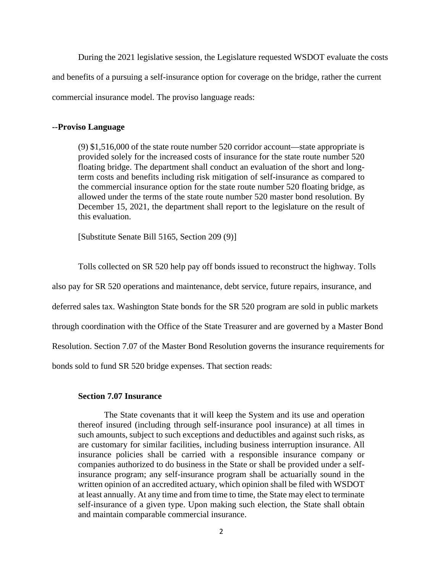During the 2021 legislative session, the Legislature requested WSDOT evaluate the costs and benefits of a pursuing a self-insurance option for coverage on the bridge, rather the current commercial insurance model. The proviso language reads:

## **--Proviso Language**

(9) \$1,516,000 of the state route number 520 corridor account—state appropriate is provided solely for the increased costs of insurance for the state route number 520 floating bridge. The department shall conduct an evaluation of the short and longterm costs and benefits including risk mitigation of self-insurance as compared to the commercial insurance option for the state route number 520 floating bridge, as allowed under the terms of the state route number 520 master bond resolution. By December 15, 2021, the department shall report to the legislature on the result of this evaluation.

[Substitute Senate Bill 5165, Section 209 (9)]

Tolls collected on SR 520 help pay off bonds issued to reconstruct the highway. Tolls

also pay for SR 520 operations and maintenance, debt service, future repairs, insurance, and

deferred sales tax. Washington State bonds for the SR 520 program are sold in public markets

through coordination with the Office of the State Treasurer and are governed by a Master Bond

Resolution. Section 7.07 of the Master Bond Resolution governs the insurance requirements for

bonds sold to fund SR 520 bridge expenses. That section reads:

## **Section 7.07 Insurance**

The State covenants that it will keep the System and its use and operation thereof insured (including through self-insurance pool insurance) at all times in such amounts, subject to such exceptions and deductibles and against such risks, as are customary for similar facilities, including business interruption insurance. All insurance policies shall be carried with a responsible insurance company or companies authorized to do business in the State or shall be provided under a selfinsurance program; any self-insurance program shall be actuarially sound in the written opinion of an accredited actuary, which opinion shall be filed with WSDOT at least annually. At any time and from time to time, the State may elect to terminate self-insurance of a given type. Upon making such election, the State shall obtain and maintain comparable commercial insurance.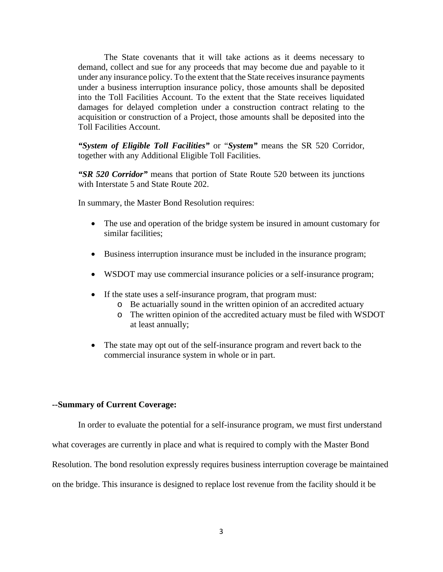The State covenants that it will take actions as it deems necessary to demand, collect and sue for any proceeds that may become due and payable to it under any insurance policy. To the extent that the State receives insurance payments under a business interruption insurance policy, those amounts shall be deposited into the Toll Facilities Account. To the extent that the State receives liquidated damages for delayed completion under a construction contract relating to the acquisition or construction of a Project, those amounts shall be deposited into the Toll Facilities Account.

*"System of Eligible Toll Facilities"* or "*System"* means the SR 520 Corridor, together with any Additional Eligible Toll Facilities.

*"SR 520 Corridor"* means that portion of State Route 520 between its junctions with Interstate 5 and State Route 202.

In summary, the Master Bond Resolution requires:

- The use and operation of the bridge system be insured in amount customary for similar facilities;
- Business interruption insurance must be included in the insurance program;
- WSDOT may use commercial insurance policies or a self-insurance program;
- If the state uses a self-insurance program, that program must:
	- o Be actuarially sound in the written opinion of an accredited actuary
	- o The written opinion of the accredited actuary must be filed with WSDOT at least annually;
- The state may opt out of the self-insurance program and revert back to the commercial insurance system in whole or in part.

## **--Summary of Current Coverage:**

In order to evaluate the potential for a self-insurance program, we must first understand

what coverages are currently in place and what is required to comply with the Master Bond

Resolution. The bond resolution expressly requires business interruption coverage be maintained

on the bridge. This insurance is designed to replace lost revenue from the facility should it be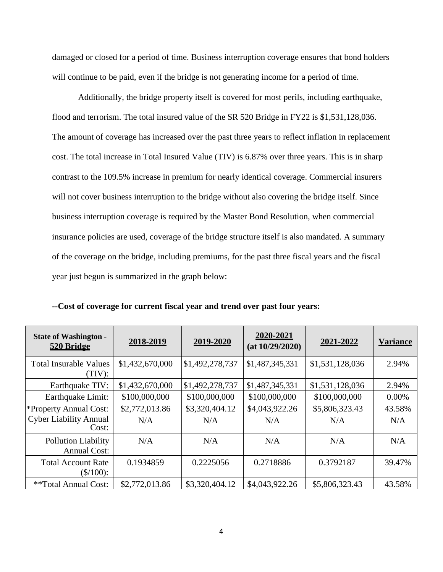damaged or closed for a period of time. Business interruption coverage ensures that bond holders will continue to be paid, even if the bridge is not generating income for a period of time.

Additionally, the bridge property itself is covered for most perils, including earthquake, flood and terrorism. The total insured value of the SR 520 Bridge in FY22 is \$1,531,128,036. The amount of coverage has increased over the past three years to reflect inflation in replacement cost. The total increase in Total Insured Value (TIV) is 6.87% over three years. This is in sharp contrast to the 109.5% increase in premium for nearly identical coverage. Commercial insurers will not cover business interruption to the bridge without also covering the bridge itself. Since business interruption coverage is required by the Master Bond Resolution, when commercial insurance policies are used, coverage of the bridge structure itself is also mandated. A summary of the coverage on the bridge, including premiums, for the past three fiscal years and the fiscal year just begun is summarized in the graph below:

| <b>State of Washington -</b><br>520 Bridge | 2018-2019       | 2019-2020       | 2020-2021<br>(at 10/29/2020) | 2021-2022       | <b>Variance</b> |
|--------------------------------------------|-----------------|-----------------|------------------------------|-----------------|-----------------|
| <b>Total Insurable Values</b><br>(TIV):    | \$1,432,670,000 | \$1,492,278,737 | \$1,487,345,331              | \$1,531,128,036 | 2.94%           |
| Earthquake TIV:                            | \$1,432,670,000 | \$1,492,278,737 | \$1,487,345,331              | \$1,531,128,036 | 2.94%           |
| Earthquake Limit:                          | \$100,000,000   | \$100,000,000   | \$100,000,000                | \$100,000,000   | 0.00%           |
| *Property Annual Cost:                     | \$2,772,013.86  | \$3,320,404.12  | \$4,043,922.26               | \$5,806,323.43  | 43.58%          |
| <b>Cyber Liability Annual</b><br>Cost:     | N/A             | N/A             | N/A                          | N/A             | N/A             |
| Pollution Liability<br><b>Annual Cost:</b> | N/A             | N/A             | N/A                          | N/A             | N/A             |
| <b>Total Account Rate</b><br>$(\$/100)$ :  | 0.1934859       | 0.2225056       | 0.2718886                    | 0.3792187       | 39.47%          |
| **Total Annual Cost:                       | \$2,772,013.86  | \$3,320,404.12  | \$4,043,922.26               | \$5,806,323.43  | 43.58%          |

**--Cost of coverage for current fiscal year and trend over past four years:**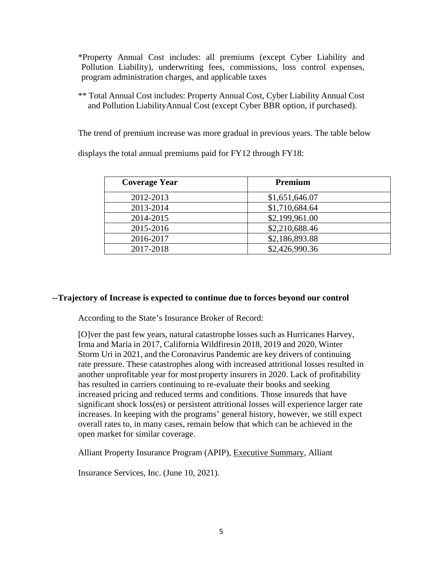\*Property Annual Cost includes: all premiums (except Cyber Liability and Pollution Liability), underwriting fees, commissions, loss control expenses, program administration charges, and applicable taxes

\*\* Total Annual Cost includes: Property Annual Cost, Cyber Liability Annual Cost and Pollution Liability Annual Cost (except Cyber BBR option, if purchased).

The trend of premium increase was more gradual in previous years. The table below

displays the total annual premiums paid for FY12 through FY18:

| <b>Coverage Year</b> | Premium        |
|----------------------|----------------|
| 2012-2013            | \$1,651,646.07 |
| 2013-2014            | \$1,710,684.64 |
| 2014-2015            | \$2,199,961.00 |
| 2015-2016            | \$2,210,688.46 |
| 2016-2017            | \$2,186,893.88 |
| 2017-2018            | \$2,426,990.36 |

# **--Trajectory of Increase is expected to continue due to forces beyond our control**

According to the State's Insurance Broker of Record:

[O]ver the past few years, natural catastrophe losses such as Hurricanes Harvey, Irma and Maria in 2017, California Wildfiresin 2018, 2019 and 2020, Winter Storm Uri in 2021, and the Coronavirus Pandemic are key drivers of continuing rate pressure. These catastrophes along with increased attritional losses resulted in another unprofitable year for most property insurers in 2020. Lack of profitability has resulted in carriers continuing to re-evaluate their books and seeking increased pricing and reduced terms and conditions. Those insureds that have significant shock loss(es) or persistent attritional losses will experience larger rate increases. In keeping with the programs' general history, however, we still expect overall rates to, in many cases, remain below that which can be achieved in the open market for similar coverage.

Alliant Property Insurance Program (APIP), Executive Summary, Alliant

Insurance Services, Inc. (June 10, 2021).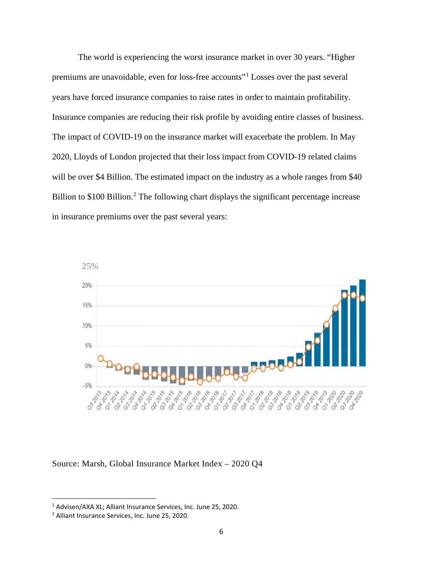The world is experiencing the worst insurance market in over 30 years. "Higher premiums are unavoidable, even for loss-free accounts"[1](#page-6-0) Losses over the past several years have forced insurance companies to raise rates in order to maintain profitability. Insurance companies are reducing their risk profile by avoiding entire classes of business. The impact of COVID-19 on the insurance market will exacerbate the problem. In May 2020, Lloyds of London projected that their loss impact from COVID-19 related claims will be over \$4 Billion. The estimated impact on the industry as a whole ranges from \$40 Billion to \$100 Billion.<sup>[2](#page-6-1)</sup> The following chart displays the significant percentage increase in insurance premiums over the past several years:



Source: Marsh, Global Insurance Market Index – 2020 Q4

<span id="page-6-0"></span><sup>1</sup> Advisen/AXA XL; Alliant Insurance Services, Inc. June 25, 2020.

<span id="page-6-1"></span><sup>2</sup> Alliant Insurance Services, Inc. June 25, 2020.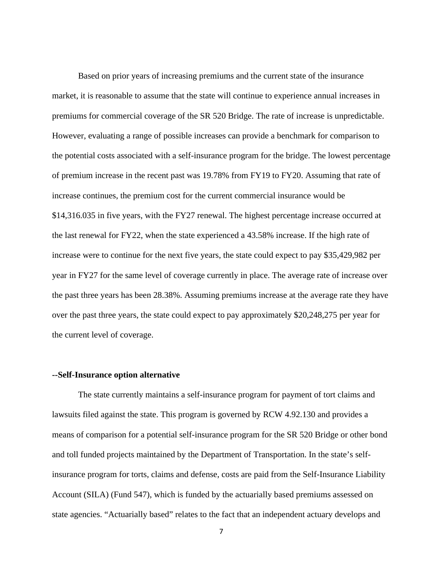Based on prior years of increasing premiums and the current state of the insurance market, it is reasonable to assume that the state will continue to experience annual increases in premiums for commercial coverage of the SR 520 Bridge. The rate of increase is unpredictable. However, evaluating a range of possible increases can provide a benchmark for comparison to the potential costs associated with a self-insurance program for the bridge. The lowest percentage of premium increase in the recent past was 19.78% from FY19 to FY20. Assuming that rate of increase continues, the premium cost for the current commercial insurance would be \$14,316.035 in five years, with the FY27 renewal. The highest percentage increase occurred at the last renewal for FY22, when the state experienced a 43.58% increase. If the high rate of increase were to continue for the next five years, the state could expect to pay \$35,429,982 per year in FY27 for the same level of coverage currently in place. The average rate of increase over the past three years has been 28.38%. Assuming premiums increase at the average rate they have over the past three years, the state could expect to pay approximately \$20,248,275 per year for the current level of coverage.

#### **--Self-Insurance option alternative**

The state currently maintains a self-insurance program for payment of tort claims and lawsuits filed against the state. This program is governed by RCW 4.92.130 and provides a means of comparison for a potential self-insurance program for the SR 520 Bridge or other bond and toll funded projects maintained by the Department of Transportation. In the state's selfinsurance program for torts, claims and defense, costs are paid from the Self-Insurance Liability Account (SILA) (Fund 547), which is funded by the actuarially based premiums assessed on state agencies. "Actuarially based" relates to the fact that an independent actuary develops and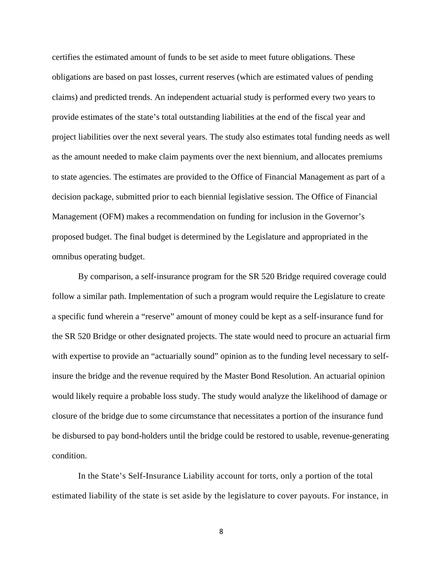certifies the estimated amount of funds to be set aside to meet future obligations. These obligations are based on past losses, current reserves (which are estimated values of pending claims) and predicted trends. An independent actuarial study is performed every two years to provide estimates of the state's total outstanding liabilities at the end of the fiscal year and project liabilities over the next several years. The study also estimates total funding needs as well as the amount needed to make claim payments over the next biennium, and allocates premiums to state agencies. The estimates are provided to the Office of Financial Management as part of a decision package, submitted prior to each biennial legislative session. The Office of Financial Management (OFM) makes a recommendation on funding for inclusion in the Governor's proposed budget. The final budget is determined by the Legislature and appropriated in the omnibus operating budget.

 By comparison, a self-insurance program for the SR 520 Bridge required coverage could follow a similar path. Implementation of such a program would require the Legislature to create a specific fund wherein a "reserve" amount of money could be kept as a self-insurance fund for the SR 520 Bridge or other designated projects. The state would need to procure an actuarial firm with expertise to provide an "actuarially sound" opinion as to the funding level necessary to selfinsure the bridge and the revenue required by the Master Bond Resolution. An actuarial opinion would likely require a probable loss study. The study would analyze the likelihood of damage or closure of the bridge due to some circumstance that necessitates a portion of the insurance fund be disbursed to pay bond-holders until the bridge could be restored to usable, revenue-generating condition.

In the State's Self-Insurance Liability account for torts, only a portion of the total estimated liability of the state is set aside by the legislature to cover payouts. For instance, in

8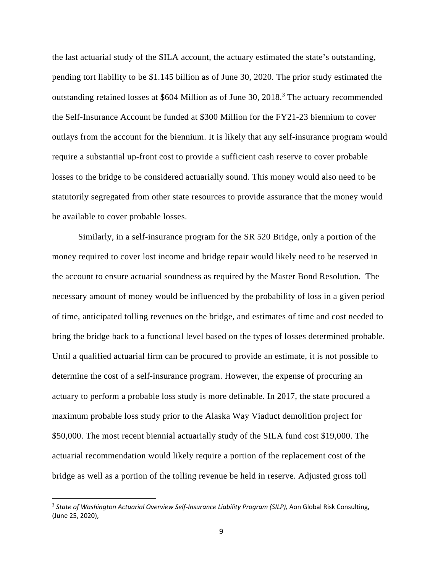the last actuarial study of the SILA account, the actuary estimated the state's outstanding, pending tort liability to be \$1.145 billion as of June 30, 2020. The prior study estimated the outstanding retained losses at \$604 Million as of June 30, 2018.<sup>3</sup> The actuary recommended the Self-Insurance Account be funded at \$300 Million for the FY21-23 biennium to cover outlays from the account for the biennium. It is likely that any self-insurance program would require a substantial up-front cost to provide a sufficient cash reserve to cover probable losses to the bridge to be considered actuarially sound. This money would also need to be statutorily segregated from other state resources to provide assurance that the money would be available to cover probable losses.

Similarly, in a self-insurance program for the SR 520 Bridge, only a portion of the money required to cover lost income and bridge repair would likely need to be reserved in the account to ensure actuarial soundness as required by the Master Bond Resolution. The necessary amount of money would be influenced by the probability of loss in a given period of time, anticipated tolling revenues on the bridge, and estimates of time and cost needed to bring the bridge back to a functional level based on the types of losses determined probable. Until a qualified actuarial firm can be procured to provide an estimate, it is not possible to determine the cost of a self-insurance program. However, the expense of procuring an actuary to perform a probable loss study is more definable. In 2017, the state procured a maximum probable loss study prior to the Alaska Way Viaduct demolition project for \$50,000. The most recent biennial actuarially study of the SILA fund cost \$19,000. The actuarial recommendation would likely require a portion of the replacement cost of the bridge as well as a portion of the tolling revenue be held in reserve. Adjusted gross toll

<sup>3</sup> *State of Washington Actuarial Overview Self-Insurance Liability Program (SILP),* Aon Global Risk Consulting, (June 25, 2020),